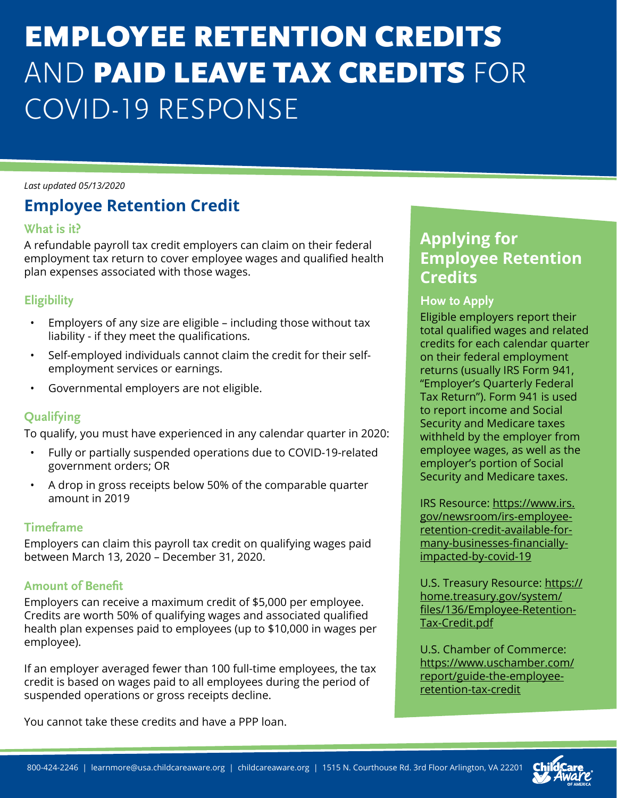# EMPLOYEE RETENTION CREDITS AND PAID LEAVE TAX CREDITS FOR COVID-19 RESPONSE

*Last updated 05/13/2020*

## **Employee Retention Credit**

#### **What is it?**

A refundable payroll tax credit employers can claim on their federal employment tax return to cover employee wages and qualified health plan expenses associated with those wages.

#### **Eligibility**

- Employers of any size are eligible including those without tax liability - if they meet the qualifications.
- Self-employed individuals cannot claim the credit for their selfemployment services or earnings.
- Governmental employers are not eligible.

#### **Qualifying**

To qualify, you must have experienced in any calendar quarter in 2020:

- Fully or partially suspended operations due to COVID-19-related government orders; OR
- A drop in gross receipts below 50% of the comparable quarter amount in 2019

#### **Timeframe**

Employers can claim this payroll tax credit on qualifying wages paid between March 13, 2020 – December 31, 2020.

#### **Amount of Benefit**

Employers can receive a maximum credit of \$5,000 per employee. Credits are worth 50% of qualifying wages and associated qualified health plan expenses paid to employees (up to \$10,000 in wages per employee).

If an employer averaged fewer than 100 full-time employees, the tax credit is based on wages paid to all employees during the period of suspended operations or gross receipts decline.

You cannot take these credits and have a PPP loan.

## **Applying for Employee Retention Credits**

#### **How to Apply**

Eligible employers report their total qualified wages and related credits for each calendar quarter on their federal employment returns (usually IRS Form 941, "Employer's Quarterly Federal Tax Return"). Form 941 is used to report income and Social Security and Medicare taxes withheld by the employer from employee wages, as well as the employer's portion of Social Security and Medicare taxes.

IRS Resource: [https://www.irs.](https://www.irs.gov/newsroom/irs-employee-retention-credit-available-for-many-businesses-financially-impacted-by-covid-19) [gov/newsroom/irs-employee](https://www.irs.gov/newsroom/irs-employee-retention-credit-available-for-many-businesses-financially-impacted-by-covid-19)[retention-credit-available-for](https://www.irs.gov/newsroom/irs-employee-retention-credit-available-for-many-businesses-financially-impacted-by-covid-19)[many-businesses-financially](https://www.irs.gov/newsroom/irs-employee-retention-credit-available-for-many-businesses-financially-impacted-by-covid-19)[impacted-by-covid-19](https://www.irs.gov/newsroom/irs-employee-retention-credit-available-for-many-businesses-financially-impacted-by-covid-19)

U.S. Treasury Resource: [https://](https://home.treasury.gov/system/files/136/Employee-Retention-Tax-Credit.pdf) [home.treasury.gov/system/](https://home.treasury.gov/system/files/136/Employee-Retention-Tax-Credit.pdf) [files/136/Employee-Retention-](https://home.treasury.gov/system/files/136/Employee-Retention-Tax-Credit.pdf)[Tax-Credit.pdf](https://home.treasury.gov/system/files/136/Employee-Retention-Tax-Credit.pdf)

U.S. Chamber of Commerce: [https://www.uschamber.com/](https://www.uschamber.com/report/guide-the-employee-retention-tax-credit) [report/guide-the-employee](https://www.uschamber.com/report/guide-the-employee-retention-tax-credit)[retention-tax-credit](https://www.uschamber.com/report/guide-the-employee-retention-tax-credit)